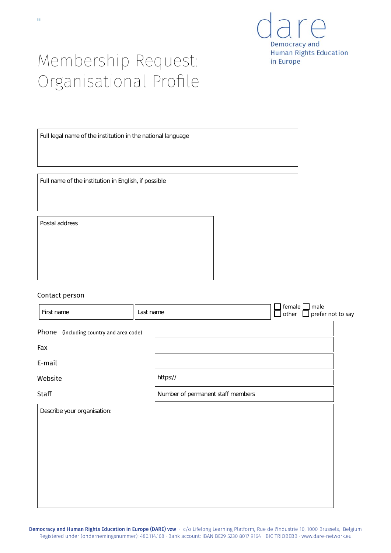

# Membership Request: Organisational Profile

Full legal name of the institution in the national language

Full name of the institution in English, if possible

Postal address

### Contact person

| First name                              | Last name |                                   | female $\square$<br>other | male<br>$\sim$ | prefer not to say |
|-----------------------------------------|-----------|-----------------------------------|---------------------------|----------------|-------------------|
| Phone (including country and area code) |           |                                   |                           |                |                   |
| Fax                                     |           |                                   |                           |                |                   |
| E-mail                                  |           |                                   |                           |                |                   |
| Website                                 |           | https://                          |                           |                |                   |
| Staff                                   |           | Number of permanent staff members |                           |                |                   |
| Describe your organisation:             |           |                                   |                           |                |                   |
|                                         |           |                                   |                           |                |                   |
|                                         |           |                                   |                           |                |                   |
|                                         |           |                                   |                           |                |                   |
|                                         |           |                                   |                           |                |                   |
|                                         |           |                                   |                           |                |                   |

Democracy and Human Rights Education in Europe (DARE) vzw · c/o Lifelong Learning Platform, Rue de l'Industrie 10, 1000 Brussels, Belgium Registered under (ondernemingsnummer): 480.114.168 · Bank account: IBAN BE29 5230 8017 9164 BIC TRIOBEBB · www.dare-network.eu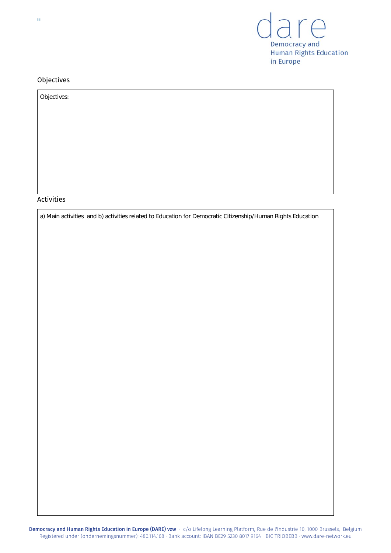

## Objectives

| Objectives: |  |
|-------------|--|
|             |  |
|             |  |
|             |  |
|             |  |
|             |  |
|             |  |
|             |  |
|             |  |

# Activities

a) Main activities and b) activities related to Education for Democratic Citizenship/Human Rights Education

 $\overline{a}$